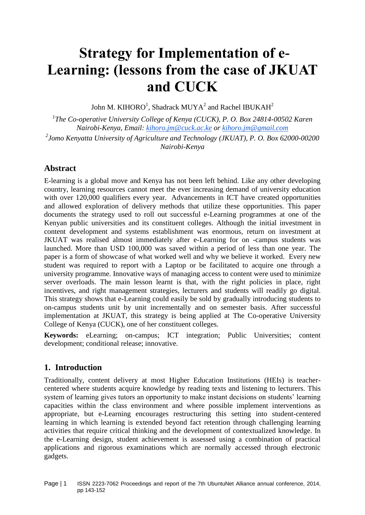# **Strategy for Implementation of e-Learning: (lessons from the case of JKUAT and CUCK**

John M. KIHORO $^1$ , Shadrack MUYA<sup>2</sup> and Rachel IBUKAH<sup>2</sup>

<sup>1</sup>The Co-operative University College of Kenya (CUCK), P. O. Box 24814-00502 Karen *Nairobi-Kenya, Email: [kihoro.jm@cuck.ac.ke](mailto:kihoro.jm@cuck.ac.ke) or [kihoro.jm@gmail.com](mailto:kihoro.jm@gmail.com)*

*2 Jomo Kenyatta University of Agriculture and Technology (JKUAT), P. O. Box 62000-00200 Nairobi-Kenya*

## **Abstract**

E-learning is a global move and Kenya has not been left behind. Like any other developing country, learning resources cannot meet the ever increasing demand of university education with over 120,000 qualifiers every year. Advancements in ICT have created opportunities and allowed exploration of delivery methods that utilize these opportunities. This paper documents the strategy used to roll out successful e-Learning programmes at one of the Kenyan public universities and its constituent colleges. Although the initial investment in content development and systems establishment was enormous, return on investment at JKUAT was realised almost immediately after e-Learning for on -campus students was launched. More than USD 100,000 was saved within a period of less than one year. The paper is a form of showcase of what worked well and why we believe it worked. Every new student was required to report with a Laptop or be facilitated to acquire one through a university programme. Innovative ways of managing access to content were used to minimize server overloads. The main lesson learnt is that, with the right policies in place, right incentives, and right management strategies, lecturers and students will readily go digital. This strategy shows that e-Learning could easily be sold by gradually introducing students to on-campus students unit by unit incrementally and on semester basis. After successful implementation at JKUAT, this strategy is being applied at The Co-operative University College of Kenya (CUCK), one of her constituent colleges.

**Keywords:** eLearning; on-campus; ICT integration; Public Universities; content development; conditional release; innovative.

## **1. Introduction**

Traditionally, content delivery at most Higher Education Institutions (HEIs) is teachercentered where students acquire knowledge by reading texts and listening to lecturers. This system of learning gives tutors an opportunity to make instant decisions on students' learning capacities within the class environment and where possible implement interventions as appropriate, but e-Learning encourages restructuring this setting into student-centered learning in which learning is extended beyond fact retention through challenging learning activities that require critical thinking and the development of contextualized knowledge. In the e-Learning design, student achievement is assessed using a combination of practical applications and rigorous examinations which are normally accessed through electronic gadgets.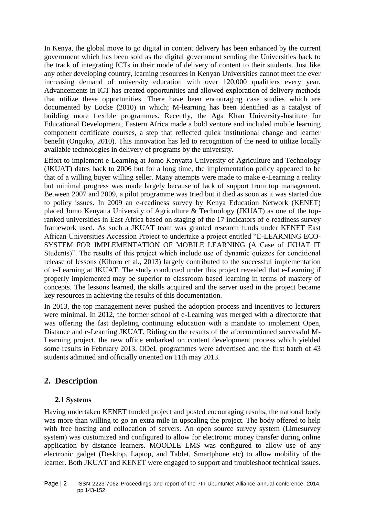In Kenya, the global move to go digital in content delivery has been enhanced by the current government which has been sold as the digital government sending the Universities back to the track of integrating ICTs in their mode of delivery of content to their students. Just like any other developing country, learning resources in Kenyan Universities cannot meet the ever increasing demand of university education with over 120,000 qualifiers every year. Advancements in ICT has created opportunities and allowed exploration of delivery methods that utilize these opportunities. There have been encouraging case studies which are documented by Locke (2010) in which; M-learning has been identified as a catalyst of building more flexible programmes. Recently, the Aga Khan University-Institute for Educational Development, Eastern Africa made a bold venture and included mobile learning component certificate courses, a step that reflected quick institutional change and learner benefit (Onguko, 2010). This innovation has led to recognition of the need to utilize locally available technologies in delivery of programs by the university.

Effort to implement e-Learning at Jomo Kenyatta University of Agriculture and Technology (JKUAT) dates back to 2006 but for a long time, the implementation policy appeared to be that of a willing buyer willing seller. Many attempts were made to make e-Learning a reality but minimal progress was made largely because of lack of support from top management. Between 2007 and 2009, a pilot programme was tried but it died as soon as it was started due to policy issues. In 2009 an e-readiness survey by Kenya Education Network (KENET) placed Jomo Kenyatta University of Agriculture & Technology (JKUAT) as one of the topranked universities in East Africa based on staging of the 17 indicators of e-readiness survey framework used. As such a JKUAT team was granted research funds under KENET East African Universities Accession Project to undertake a project entitled "E-LEARNING ECO-SYSTEM FOR IMPLEMENTATION OF MOBILE LEARNING (A Case of JKUAT IT Students)". The results of this project which include use of dynamic quizzes for conditional release of lessons (Kihoro et al., 2013) largely contributed to the successful implementation of e-Learning at JKUAT. The study conducted under this project revealed that e-Learning if properly implemented may be superior to classroom based learning in terms of mastery of concepts. The lessons learned, the skills acquired and the server used in the project became key resources in achieving the results of this documentation.

In 2013, the top management never pushed the adoption process and incentives to lecturers were minimal. In 2012, the former school of e-Learning was merged with a directorate that was offering the fast depleting continuing education with a mandate to implement Open, Distance and e-Learning JKUAT. Riding on the results of the aforementioned successful M-Learning project, the new office embarked on content development process which yielded some results in February 2013. ODeL programmes were advertised and the first batch of 43 students admitted and officially oriented on 11th may 2013.

# **2. Description**

## **2.1 Systems**

Having undertaken KENET funded project and posted encouraging results, the national body was more than willing to go an extra mile in upscaling the project. The body offered to help with free hosting and collocation of servers. An open source survey system (Limesurvey system) was customized and configured to allow for electronic money transfer during online application by distance learners. MOODLE LMS was configured to allow use of any electronic gadget (Desktop, Laptop, and Tablet, Smartphone etc) to allow mobility of the learner. Both JKUAT and KENET were engaged to support and troubleshoot technical issues.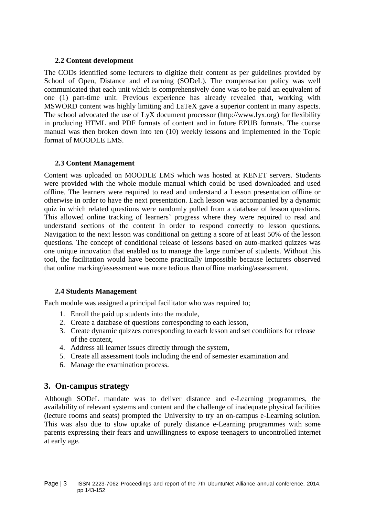## **2.2 Content development**

The CODs identified some lecturers to digitize their content as per guidelines provided by School of Open, Distance and eLearning (SODeL). The compensation policy was well communicated that each unit which is comprehensively done was to be paid an equivalent of one (1) part-time unit. Previous experience has already revealed that, working with MSWORD content was highly limiting and LaTeX gave a superior content in many aspects. The school advocated the use of LyX document processor (http://www.lyx.org) for flexibility in producing HTML and PDF formats of content and in future EPUB formats. The course manual was then broken down into ten (10) weekly lessons and implemented in the Topic format of MOODLE LMS.

## **2.3 Content Management**

Content was uploaded on MOODLE LMS which was hosted at KENET servers. Students were provided with the whole module manual which could be used downloaded and used offline. The learners were required to read and understand a Lesson presentation offline or otherwise in order to have the next presentation. Each lesson was accompanied by a dynamic quiz in which related questions were randomly pulled from a database of lesson questions. This allowed online tracking of learners' progress where they were required to read and understand sections of the content in order to respond correctly to lesson questions. Navigation to the next lesson was conditional on getting a score of at least 50% of the lesson questions. The concept of conditional release of lessons based on auto-marked quizzes was one unique innovation that enabled us to manage the large number of students. Without this tool, the facilitation would have become practically impossible because lecturers observed that online marking/assessment was more tedious than offline marking/assessment.

## **2.4 Students Management**

Each module was assigned a principal facilitator who was required to;

- 1. Enroll the paid up students into the module,
- 2. Create a database of questions corresponding to each lesson,
- 3. Create dynamic quizzes corresponding to each lesson and set conditions for release of the content,
- 4. Address all learner issues directly through the system,
- 5. Create all assessment tools including the end of semester examination and
- 6. Manage the examination process.

## **3. On-campus strategy**

Although SODeL mandate was to deliver distance and e-Learning programmes, the availability of relevant systems and content and the challenge of inadequate physical facilities (lecture rooms and seats) prompted the University to try an on-campus e-Learning solution. This was also due to slow uptake of purely distance e-Learning programmes with some parents expressing their fears and unwillingness to expose teenagers to uncontrolled internet at early age.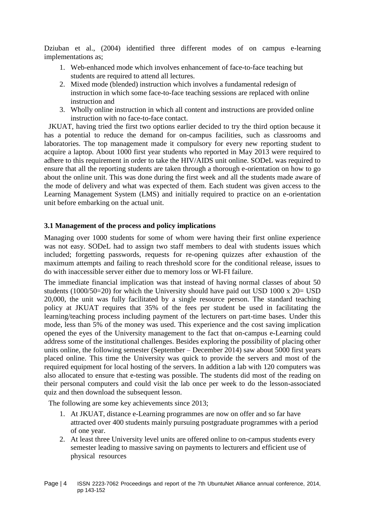Dziuban et al., (2004) identified three different modes of on campus e-learning implementations as;

- 1. Web-enhanced mode which involves enhancement of face-to-face teaching but students are required to attend all lectures.
- 2. Mixed mode (blended) instruction which involves a fundamental redesign of instruction in which some face-to-face teaching sessions are replaced with online instruction and
- 3. Wholly online instruction in which all content and instructions are provided online instruction with no face-to-face contact.

JKUAT, having tried the first two options earlier decided to try the third option because it has a potential to reduce the demand for on-campus facilities, such as classrooms and laboratories. The top management made it compulsory for every new reporting student to acquire a laptop. About 1000 first year students who reported in May 2013 were required to adhere to this requirement in order to take the HIV/AIDS unit online. SODeL was required to ensure that all the reporting students are taken through a thorough e-orientation on how to go about the online unit. This was done during the first week and all the students made aware of the mode of delivery and what was expected of them. Each student was given access to the Learning Management System (LMS) and initially required to practice on an e-orientation unit before embarking on the actual unit.

#### **3.1 Management of the process and policy implications**

Managing over 1000 students for some of whom were having their first online experience was not easy. SODeL had to assign two staff members to deal with students issues which included; forgetting passwords, requests for re-opening quizzes after exhaustion of the maximum attempts and failing to reach threshold score for the conditional release, issues to do with inaccessible server either due to memory loss or WI-FI failure.

The immediate financial implication was that instead of having normal classes of about 50 students (1000/50=20) for which the University should have paid out USD 1000 x 20= USD 20,000, the unit was fully facilitated by a single resource person. The standard teaching policy at JKUAT requires that 35% of the fees per student be used in facilitating the learning/teaching process including payment of the lecturers on part-time bases. Under this mode, less than 5% of the money was used. This experience and the cost saving implication opened the eyes of the University management to the fact that on-campus e-Learning could address some of the institutional challenges. Besides exploring the possibility of placing other units online, the following semester (September – December 2014) saw about 5000 first years placed online. This time the University was quick to provide the servers and most of the required equipment for local hosting of the servers. In addition a lab with 120 computers was also allocated to ensure that e-testing was possible. The students did most of the reading on their personal computers and could visit the lab once per week to do the lesson-associated quiz and then download the subsequent lesson.

The following are some key achievements since 2013;

- 1. At JKUAT, distance e-Learning programmes are now on offer and so far have attracted over 400 students mainly pursuing postgraduate programmes with a period of one year.
- 2. At least three University level units are offered online to on-campus students every semester leading to massive saving on payments to lecturers and efficient use of physical resources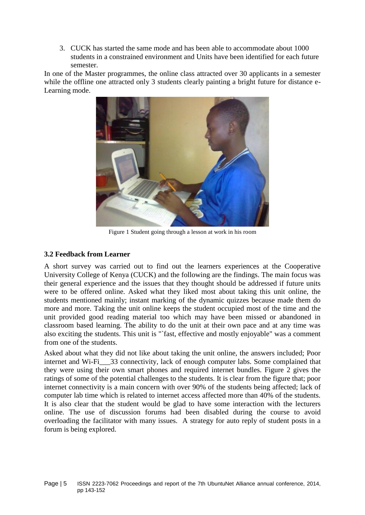3. CUCK has started the same mode and has been able to accommodate about 1000 students in a constrained environment and Units have been identified for each future semester.

In one of the Master programmes, the online class attracted over 30 applicants in a semester while the offline one attracted only 3 students clearly painting a bright future for distance e-Learning mode.



Figure 1 Student going through a lesson at work in his room

## **3.2 Feedback from Learner**

A short survey was carried out to find out the learners experiences at the Cooperative University College of Kenya (CUCK) and the following are the findings. The main focus was their general experience and the issues that they thought should be addressed if future units were to be offered online. Asked what they liked most about taking this unit online, the students mentioned mainly; instant marking of the dynamic quizzes because made them do more and more. Taking the unit online keeps the student occupied most of the time and the unit provided good reading material too which may have been missed or abandoned in classroom based learning. The ability to do the unit at their own pace and at any time was also exciting the students. This unit is "`fast, effective and mostly enjoyable" was a comment from one of the students.

Asked about what they did not like about taking the unit online, the answers included; Poor internet and Wi-Fi<sup>33</sup> connectivity, lack of enough computer labs. Some complained that they were using their own smart phones and required internet bundles. Figure 2 gives the ratings of some of the potential challenges to the students. It is clear from the figure that; poor internet connectivity is a main concern with over 90% of the students being affected; lack of computer lab time which is related to internet access affected more than 40% of the students. It is also clear that the student would be glad to have some interaction with the lecturers online. The use of discussion forums had been disabled during the course to avoid overloading the facilitator with many issues. A strategy for auto reply of student posts in a forum is being explored.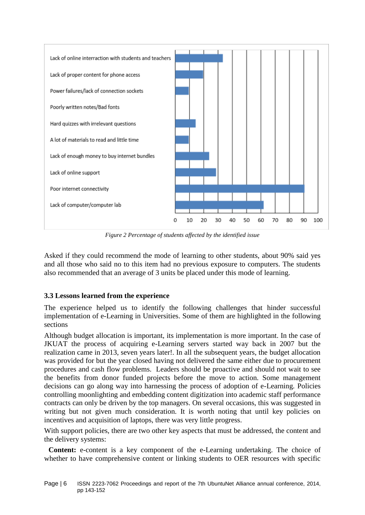

*Figure 2 Percentage of students affected by the identified issue* 

Asked if they could recommend the mode of learning to other students, about 90% said yes and all those who said no to this item had no previous exposure to computers. The students also recommended that an average of 3 units be placed under this mode of learning.

## **3.3 Lessons learned from the experience**

The experience helped us to identify the following challenges that hinder successful implementation of e-Learning in Universities. Some of them are highlighted in the following sections

Although budget allocation is important, its implementation is more important. In the case of JKUAT the process of acquiring e-Learning servers started way back in 2007 but the realization came in 2013, seven years later!. In all the subsequent years, the budget allocation was provided for but the year closed having not delivered the same either due to procurement procedures and cash flow problems. Leaders should be proactive and should not wait to see the benefits from donor funded projects before the move to action. Some management decisions can go along way into harnessing the process of adoption of e-Learning. Policies controlling moonlighting and embedding content digitization into academic staff performance contracts can only be driven by the top managers. On several occasions, this was suggested in writing but not given much consideration. It is worth noting that until key policies on incentives and acquisition of laptops, there was very little progress.

With support policies, there are two other key aspects that must be addressed, the content and the delivery systems:

**Content:** e-content is a key component of the e-Learning undertaking. The choice of whether to have comprehensive content or linking students to OER resources with specific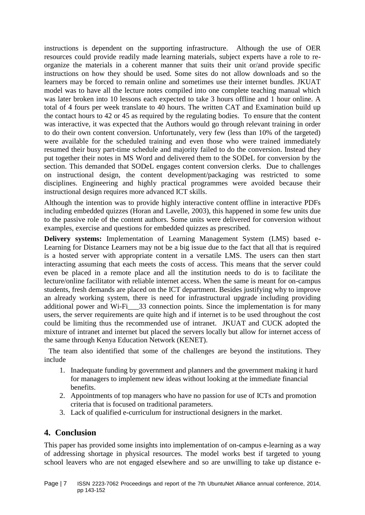instructions is dependent on the supporting infrastructure. Although the use of OER resources could provide readily made learning materials, subject experts have a role to reorganize the materials in a coherent manner that suits their unit or/and provide specific instructions on how they should be used. Some sites do not allow downloads and so the learners may be forced to remain online and sometimes use their internet bundles. JKUAT model was to have all the lecture notes compiled into one complete teaching manual which was later broken into 10 lessons each expected to take 3 hours offline and 1 hour online. A total of 4 fours per week translate to 40 hours. The written CAT and Examination build up the contact hours to 42 or 45 as required by the regulating bodies. To ensure that the content was interactive, it was expected that the Authors would go through relevant training in order to do their own content conversion. Unfortunately, very few (less than 10% of the targeted) were available for the scheduled training and even those who were trained immediately resumed their busy part-time schedule and majority failed to do the conversion. Instead they put together their notes in MS Word and delivered them to the SODeL for conversion by the section. This demanded that SODeL engages content conversion clerks. Due to challenges on instructional design, the content development/packaging was restricted to some disciplines. Engineering and highly practical programmes were avoided because their instructional design requires more advanced ICT skills.

Although the intention was to provide highly interactive content offline in interactive PDFs including embedded quizzes (Horan and Lavelle, 2003), this happened in some few units due to the passive role of the content authors. Some units were delivered for conversion without examples, exercise and questions for embedded quizzes as prescribed.

**Delivery systems:** Implementation of Learning Management System (LMS) based e-Learning for Distance Learners may not be a big issue due to the fact that all that is required is a hosted server with appropriate content in a versatile LMS. The users can then start interacting assuming that each meets the costs of access. This means that the server could even be placed in a remote place and all the institution needs to do is to facilitate the lecture/online facilitator with reliable internet access. When the same is meant for on-campus students, fresh demands are placed on the ICT department. Besides justifying why to improve an already working system, there is need for infrastructural upgrade including providing additional power and Wi-Fi<sup>233</sup> connection points. Since the implementation is for many users, the server requirements are quite high and if internet is to be used throughout the cost could be limiting thus the recommended use of intranet. JKUAT and CUCK adopted the mixture of intranet and internet but placed the servers locally but allow for internet access of the same through Kenya Education Network (KENET).

The team also identified that some of the challenges are beyond the institutions. They include

- 1. Inadequate funding by government and planners and the government making it hard for managers to implement new ideas without looking at the immediate financial benefits.
- 2. Appointments of top managers who have no passion for use of ICTs and promotion criteria that is focused on traditional parameters.
- 3. Lack of qualified e-curriculum for instructional designers in the market.

# **4. Conclusion**

This paper has provided some insights into implementation of on-campus e-learning as a way of addressing shortage in physical resources. The model works best if targeted to young school leavers who are not engaged elsewhere and so are unwilling to take up distance e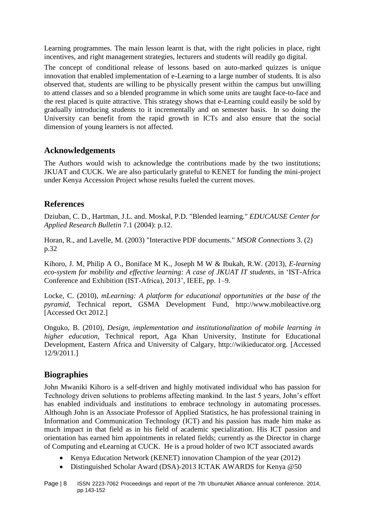Learning programmes. The main lesson learnt is that, with the right policies in place, right incentives, and right management strategies, lecturers and students will readily go digital.

The concept of conditional release of lessons based on auto-marked quizzes is unique innovation that enabled implementation of e-Learning to a large number of students. It is also observed that, students are willing to be physically present within the campus but unwilling to attend classes and so a blended programme in which some units are taught face-to-face and the rest placed is quite attractive. This strategy shows that e-Learning could easily be sold by gradually introducing students to it incrementally and on semester basis. In so doing the University can benefit from the rapid growth in ICTs and also ensure that the social dimension of young learners is not affected.

# **Acknowledgements**

The Authors would wish to acknowledge the contributions made by the two institutions; JKUAT and CUCK. We are also particularly grateful to KENET for funding the mini-project under Kenya Accession Project whose results fueled the current moves.

# **References**

Dziuban, C. D., Hartman, J.L. and. Moskal, P.D. "Blended learning." *EDUCAUSE Center for Applied Research Bulletin* 7.1 (2004): p.12.

Horan, R., and Lavelle, M. (2003) "Interactive PDF documents." *MSOR Connections* 3. (2) p.32

Kihoro, J. M, Philip A O., Boniface M K., Joseph M W & Ibukah, R.W. (2013), *E-learning eco-system for mobility and effective learning: A case of JKUAT IT students*, in 'IST-Africa Conference and Exhibition (IST-Africa), 2013', IEEE, pp. 1–9.

Locke, C. (2010), *mLearning: A platform for educational opportunities at the base of the pyramid*, Technical report, GSMA Development Fund, http://www.mobileactive.org [Accessed Oct 2012.]

Onguko, B. (2010), *Design, implementation and institutionalization of mobile learning in higher education*, Technical report, Aga Khan University, Institute for Educational Development, Eastern Africa and University of Calgary, http://wikieducator.org. [Accessed 12/9/2011.]

# **Biographies**

John Mwaniki Kihoro is a self-driven and highly motivated individual who has passion for Technology driven solutions to problems affecting mankind. In the last 5 years, John's effort has enabled individuals and institutions to embrace technology in automating processes. Although John is an Associate Professor of Applied Statistics, he has professional training in Information and Communication Technology (ICT) and his passion has made him make as much impact in that field as in his field of academic specialization. His ICT passion and orientation has earned him appointments in related fields; currently as the Director in charge of Computing and eLearning at CUCK. He is a proud holder of two ICT associated awards

- Kenya Education Network (KENET) innovation Champion of the year (2012)
- Distinguished Scholar Award (DSA)-2013 ICTAK AWARDS for Kenya @50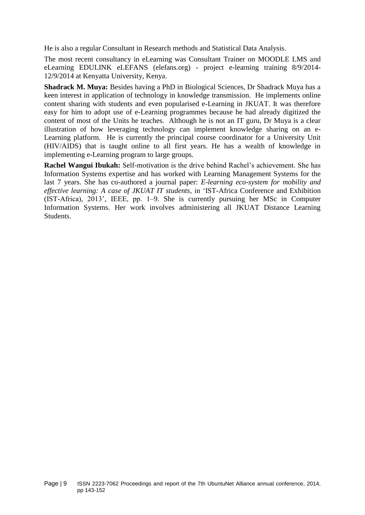He is also a regular Consultant in Research methods and Statistical Data Analysis.

The most recent consultancy in eLearning was Consultant Trainer on MOODLE LMS and eLearning EDULINK eLEFANS (elefans.org) - project e-learning training 8/9/2014- 12/9/2014 at Kenyatta University, Kenya.

**Shadrack M. Muya:** Besides having a PhD in Biological Sciences, Dr Shadrack Muya has a keen interest in application of technology in knowledge transmission. He implements online content sharing with students and even popularised e-Learning in JKUAT. It was therefore easy for him to adopt use of e-Learning programmes because he had already digitized the content of most of the Units he teaches. Although he is not an IT guru, Dr Muya is a clear illustration of how leveraging technology can implement knowledge sharing on an e-Learning platform. He is currently the principal course coordinator for a University Unit (HIV/AIDS) that is taught online to all first years. He has a wealth of knowledge in implementing e-Learning program to large groups.

**Rachel Wangui Ibukah:** Self-motivation is the drive behind Rachel's achievement. She has Information Systems expertise and has worked with Learning Management Systems for the last 7 years. She has co-authored a journal paper: *E-learning eco-system for mobility and effective learning: A case of JKUAT IT students*, in 'IST-Africa Conference and Exhibition (IST-Africa), 2013', IEEE, pp. 1–9. She is currently pursuing her MSc in Computer Information Systems. Her work involves administering all JKUAT Distance Learning Students.